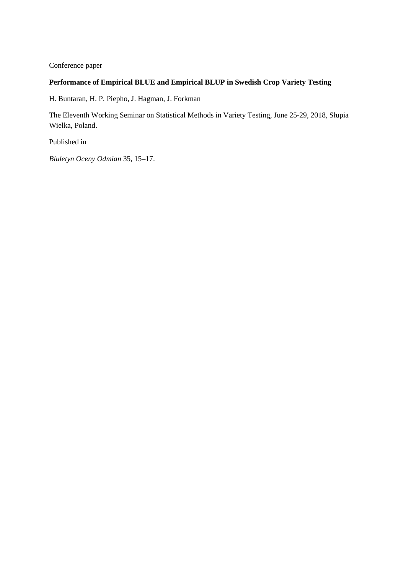Conference paper

# **Performance of Empirical BLUE and Empirical BLUP in Swedish Crop Variety Testing**

H. Buntaran, H. P. Piepho, J. Hagman, J. Forkman

The Eleventh Working Seminar on Statistical Methods in Variety Testing, June 25-29, 2018, Słupia Wielka, Poland.

Published in

*Biuletyn Oceny Odmian* 35, 15–17.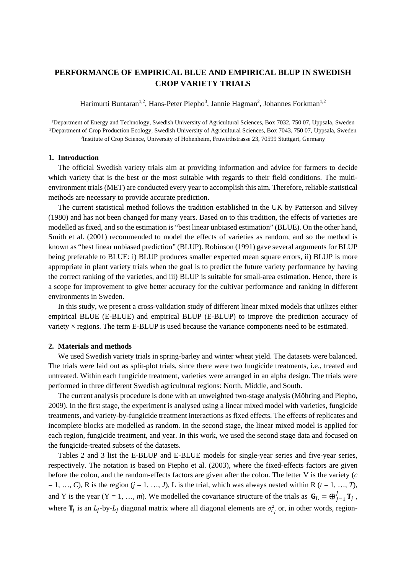## **PERFORMANCE OF EMPIRICAL BLUE AND EMPIRICAL BLUP IN SWEDISH CROP VARIETY TRIALS**

Harimurti Buntaran<sup>1,2</sup>, Hans-Peter Piepho<sup>3</sup>, Jannie Hagman<sup>2</sup>, Johannes Forkman<sup>1,2</sup>

<sup>1</sup>Department of Energy and Technology, Swedish University of Agricultural Sciences, Box 7032, 750 07, Uppsala, Sweden 2Department of Crop Production Ecology, Swedish University of Agricultural Sciences, Box 7043, 750 07, Uppsala, Sweden <sup>3</sup>Institute of Crop Science, University of Hohenheim, Fruwirthstrasse 23, 70599 Stuttgart, Germany

### **1. Introduction**

The official Swedish variety trials aim at providing information and advice for farmers to decide which variety that is the best or the most suitable with regards to their field conditions. The multienvironment trials (MET) are conducted every year to accomplish this aim. Therefore, reliable statistical methods are necessary to provide accurate prediction.

The current statistical method follows the tradition established in the UK by Patterson and Silvey (1980) and has not been changed for many years. Based on to this tradition, the effects of varieties are modelled as fixed, and so the estimation is "best linear unbiased estimation" (BLUE). On the other hand, Smith et al. (2001) recommended to model the effects of varieties as random, and so the method is known as "best linear unbiased prediction" (BLUP). Robinson (1991) gave several arguments for BLUP being preferable to BLUE: i) BLUP produces smaller expected mean square errors, ii) BLUP is more appropriate in plant variety trials when the goal is to predict the future variety performance by having the correct ranking of the varieties, and iii) BLUP is suitable for small-area estimation. Hence, there is a scope for improvement to give better accuracy for the cultivar performance and ranking in different environments in Sweden.

In this study, we present a cross-validation study of different linear mixed models that utilizes either empirical BLUE (E-BLUE) and empirical BLUP (E-BLUP) to improve the prediction accuracy of variety × regions. The term E-BLUP is used because the variance components need to be estimated.

#### **2. Materials and methods**

We used Swedish variety trials in spring-barley and winter wheat yield. The datasets were balanced. The trials were laid out as split-plot trials, since there were two fungicide treatments, i.e., treated and untreated. Within each fungicide treatment, varieties were arranged in an alpha design. The trials were performed in three different Swedish agricultural regions: North, Middle, and South.

The current analysis procedure is done with an unweighted two-stage analysis (Möhring and Piepho, 2009). In the first stage, the experiment is analysed using a linear mixed model with varieties, fungicide treatments, and variety-by-fungicide treatment interactions as fixed effects. The effects of replicates and incomplete blocks are modelled as random. In the second stage, the linear mixed model is applied for each region, fungicide treatment, and year. In this work, we used the second stage data and focused on the fungicide-treated subsets of the datasets.

Tables 2 and 3 list the E-BLUP and E-BLUE models for single-year series and five-year series, respectively. The notation is based on Piepho et al. (2003), where the fixed-effects factors are given before the colon, and the random-effects factors are given after the colon. The letter V is the variety (*c*  $= 1, ..., C$ ), R is the region  $(j = 1, ..., J)$ , L is the trial, which was always nested within R  $(t = 1, ..., T)$ , and Y is the year  $(Y = 1, ..., m)$ . We modelled the covariance structure of the trials as  $G_L = \bigoplus_{j=1}^{J} T_j$ , where  $\mathbf{T}_j$  is an  $L_j$ -by- $L_j$  diagonal matrix where all diagonal elements are  $\sigma_{L_j}^2$  or, in other words, region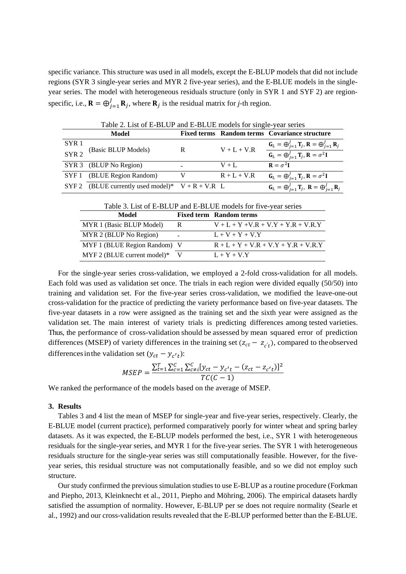specific variance. This structure was used in all models, except the E-BLUP models that did not include regions (SYR 3 single-year series and MYR 2 five-year series), and the E-BLUE models in the singleyear series. The model with heterogeneous residuals structure (only in SYR 1 and SYF 2) are regionspecific, i.e.,  $\mathbf{R} = \bigoplus_{j=1}^{J} \mathbf{R}_j$ , where  $\mathbf{R}_j$  is the residual matrix for *j*-th region.

|                  | Table 2. List of E-BLUP and E-BLUE models for single-year series |   |               |                                                                                              |
|------------------|------------------------------------------------------------------|---|---------------|----------------------------------------------------------------------------------------------|
|                  | Model                                                            |   |               | Fixed terms Random terms Covariance structure                                                |
| SYR <sub>1</sub> | (Basic BLUP Models)                                              | R | $V + L + V.R$ | $\mathbf{G}_L = \bigoplus_{i=1}^J \mathbf{T}_i, \mathbf{R} = \bigoplus_{i=1}^J \mathbf{R}_i$ |
| SYR <sub>2</sub> |                                                                  |   |               | $\mathbf{G}_L = \bigoplus_{i=1}^J \mathbf{T}_i, \mathbf{R} = \sigma^2 \mathbf{I}$            |
|                  | SYR 3 (BLUP No Region)                                           |   | $V + I$ .     | $\mathbf{R} = \sigma^2 \mathbf{I}$                                                           |
|                  | SYF 1 (BLUE Region Random)                                       |   | $R + L + V.R$ | $\mathbf{G}_L = \bigoplus_{i=1}^J \mathbf{T}_i, \mathbf{R} = \sigma^2 \mathbf{I}$            |
|                  | SYF 2 (BLUE currently used model)* $V + R + V.R$ L               |   |               | $G_L = \bigoplus_{i=1}^{J} T_i$ , $R = \bigoplus_{j=1}^{J} R_j$                              |

Table 2. List of E-BLUP and E-BLUE models for single-year series

| Table 3. List of E-BLUP and E-BLUE models for five-year series |  |
|----------------------------------------------------------------|--|
|----------------------------------------------------------------|--|

| Model                        |   | <b>Fixed term Random terms</b>        |
|------------------------------|---|---------------------------------------|
| MYR 1 (Basic BLUP Model)     | R | $V + L + Y + V.R + V.Y + Y.R + V.R.Y$ |
| MYR 2 (BLUP No Region)       |   | $L + V + Y + V.Y$                     |
| MYF 1 (BLUE Region Random) V |   | $R + L + Y + V.R + V.Y + Y.R + V.R.Y$ |
| $MYF 2 (BLE current model)*$ |   | $L + Y + VY$                          |

For the single-year series cross-validation, we employed a 2-fold cross-validation for all models. Each fold was used as validation set once. The trials in each region were divided equally (50/50) into training and validation set. For the five-year series cross-validation, we modified the leave-one-out cross-validation for the practice of predicting the variety performance based on five-year datasets. The five-year datasets in a row were assigned as the training set and the sixth year were assigned as the validation set. The main interest of variety trials is predicting differences among tested varieties. Thus, the performance of cross-validation should be assessed by mean squared error of prediction differences (MSEP) of variety differences in the training set  $(z_{ct} - z_{ct})$ , compared to the observed differences in the validation set  $(y_{ct} - y_{c't})$ :

$$
MSEP = \frac{\sum_{t=1}^{T} \sum_{c=1}^{C} \sum_{c \neq i}^{C} [y_{ct} - y_{c't} - (z_{ct} - z_{c't})]^2}{TC(C-1)}
$$

We ranked the performance of the models based on the average of MSEP.

#### **3. Results**

Tables 3 and 4 list the mean of MSEP for single-year and five-year series, respectively. Clearly, the E-BLUE model (current practice), performed comparatively poorly for winter wheat and spring barley datasets. As it was expected, the E-BLUP models performed the best, i.e., SYR 1 with heterogeneous residuals for the single-year series, and MYR 1 for the five-year series. The SYR 1 with heterogeneous residuals structure for the single-year series was still computationally feasible. However, for the fiveyear series, this residual structure was not computationally feasible, and so we did not employ such structure.

Our study confirmed the previous simulation studies to use E-BLUP as a routine procedure (Forkman and Piepho, 2013, Kleinknecht et al., 2011, Piepho and Möhring, 2006). The empirical datasets hardly satisfied the assumption of normality. However, E-BLUP per se does not require normality (Searle et al., 1992) and our cross-validation results revealed that the E-BLUP performed better than the E-BLUE.